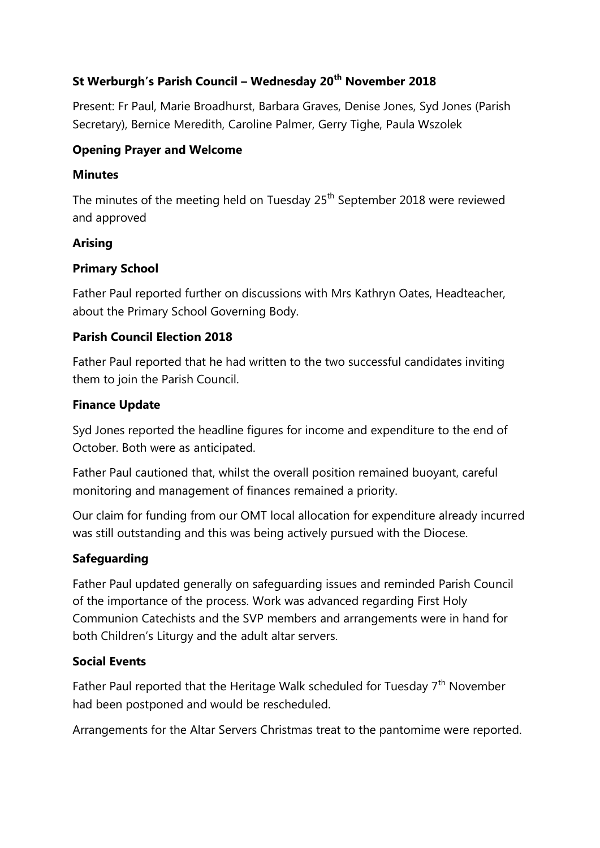# **St Werburgh's Parish Council – Wednesday 20th November 2018**

Present: Fr Paul, Marie Broadhurst, Barbara Graves, Denise Jones, Syd Jones (Parish Secretary), Bernice Meredith, Caroline Palmer, Gerry Tighe, Paula Wszolek

### **Opening Prayer and Welcome**

#### **Minutes**

The minutes of the meeting held on Tuesday  $25<sup>th</sup>$  September 2018 were reviewed and approved

#### **Arising**

## **Primary School**

Father Paul reported further on discussions with Mrs Kathryn Oates, Headteacher, about the Primary School Governing Body.

## **Parish Council Election 2018**

Father Paul reported that he had written to the two successful candidates inviting them to join the Parish Council.

#### **Finance Update**

Syd Jones reported the headline figures for income and expenditure to the end of October. Both were as anticipated.

Father Paul cautioned that, whilst the overall position remained buoyant, careful monitoring and management of finances remained a priority.

Our claim for funding from our OMT local allocation for expenditure already incurred was still outstanding and this was being actively pursued with the Diocese.

## **Safeguarding**

Father Paul updated generally on safeguarding issues and reminded Parish Council of the importance of the process. Work was advanced regarding First Holy Communion Catechists and the SVP members and arrangements were in hand for both Children's Liturgy and the adult altar servers.

#### **Social Events**

Father Paul reported that the Heritage Walk scheduled for Tuesday  $7<sup>th</sup>$  November had been postponed and would be rescheduled.

Arrangements for the Altar Servers Christmas treat to the pantomime were reported.